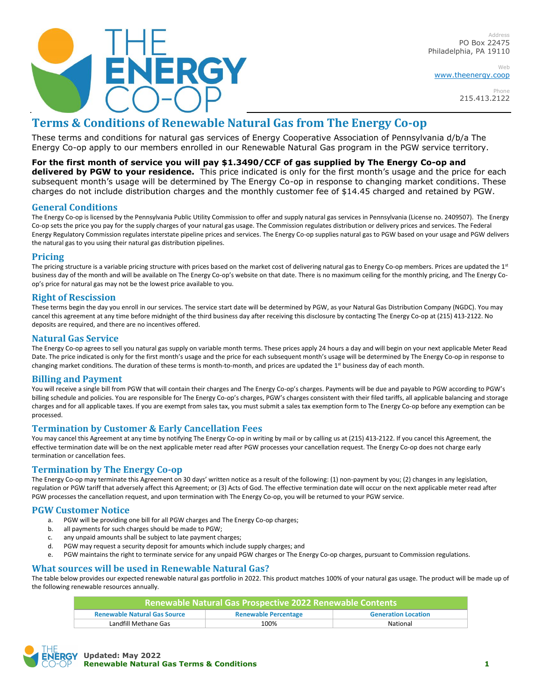

Address PO Box 22475 Philadelphia, PA 19110

Web [www.theenergy.coop](http://www.theenergy.coop/)

> Phone 215.413.2122

# **Terms & Conditions of Renewable Natural Gas from The Energy Co-op**

These terms and conditions for natural gas services of Energy Cooperative Association of Pennsylvania d/b/a The Energy Co-op apply to our members enrolled in our Renewable Natural Gas program in the PGW service territory.

## **For the first month of service you will pay \$1.3490/CCF of gas supplied by The Energy Co-op and**

**delivered by PGW to your residence.** This price indicated is only for the first month's usage and the price for each subsequent month's usage will be determined by The Energy Co-op in response to changing market conditions. These charges do not include distribution charges and the monthly customer fee of \$14.45 charged and retained by PGW.

## **General Conditions**

The Energy Co-op is licensed by the Pennsylvania Public Utility Commission to offer and supply natural gas services in Pennsylvania (License no. 2409507). The Energy Co-op sets the price you pay for the supply charges of your natural gas usage. The Commission regulates distribution or delivery prices and services. The Federal Energy Regulatory Commission regulates interstate pipeline prices and services. The Energy Co-op supplies natural gas to PGW based on your usage and PGW delivers the natural gas to you using their natural gas distribution pipelines.

## **Pricing**

The pricing structure is a variable pricing structure with prices based on the market cost of delivering natural gas to Energy Co-op members. Prices are updated the 1st business day of the month and will be available on The Energy Co-op's website on that date. There is no maximum ceiling for the monthly pricing, and The Energy Coop's price for natural gas may not be the lowest price available to you.

# **Right of Rescission**

These terms begin the day you enroll in our services. The service start date will be determined by PGW, as your Natural Gas Distribution Company (NGDC). You may cancel this agreement at any time before midnight of the third business day after receiving this disclosure by contacting The Energy Co-op at (215) 413-2122. No deposits are required, and there are no incentives offered.

## **Natural Gas Service**

The Energy Co-op agrees to sell you natural gas supply on variable month terms. These prices apply 24 hours a day and will begin on your next applicable Meter Read Date. The price indicated is only for the first month's usage and the price for each subsequent month's usage will be determined by The Energy Co-op in response to changing market conditions. The duration of these terms is month-to-month, and prices are updated the 1st business day of each month.

## **Billing and Payment**

You will receive a single bill from PGW that will contain their charges and The Energy Co-op's charges. Payments will be due and payable to PGW according to PGW's billing schedule and policies. You are responsible for The Energy Co-op's charges, PGW's charges consistent with their filed tariffs, all applicable balancing and storage charges and for all applicable taxes. If you are exempt from sales tax, you must submit a sales tax exemption form to The Energy Co-op before any exemption can be processed.

## **Termination by Customer & Early Cancellation Fees**

You may cancel this Agreement at any time by notifying The Energy Co-op in writing by mail or by calling us at (215) 413-2122. If you cancel this Agreement, the effective termination date will be on the next applicable meter read after PGW processes your cancellation request. The Energy Co-op does not charge early termination or cancellation fees.

# **Termination by The Energy Co-op**

The Energy Co-op may terminate this Agreement on 30 days' written notice as a result of the following: (1) non-payment by you; (2) changes in any legislation, regulation or PGW tariff that adversely affect this Agreement; or (3) Acts of God. The effective termination date will occur on the next applicable meter read after PGW processes the cancellation request, and upon termination with The Energy Co-op, you will be returned to your PGW service.

## **PGW Customer Notice**

- a. PGW will be providing one bill for all PGW charges and The Energy Co-op charges;
- b. all payments for such charges should be made to PGW;
- c. any unpaid amounts shall be subject to late payment charges;
- d. PGW may request a security deposit for amounts which include supply charges; and
- e. PGW maintains the right to terminate service for any unpaid PGW charges or The Energy Co-op charges, pursuant to Commission regulations.

#### **What sources will be used in Renewable Natural Gas?**

The table below provides our expected renewable natural gas portfolio in 2022. This product matches 100% of your natural gas usage. The product will be made up of the following renewable resources annually.

| Renewable Natural Gas Prospective 2022 Renewable Contents |                             |                            |
|-----------------------------------------------------------|-----------------------------|----------------------------|
| <b>Renewable Natural Gas Source</b>                       | <b>Renewable Percentage</b> | <b>Generation Location</b> |
| Landfill Methane Gas                                      | 100%                        | National                   |